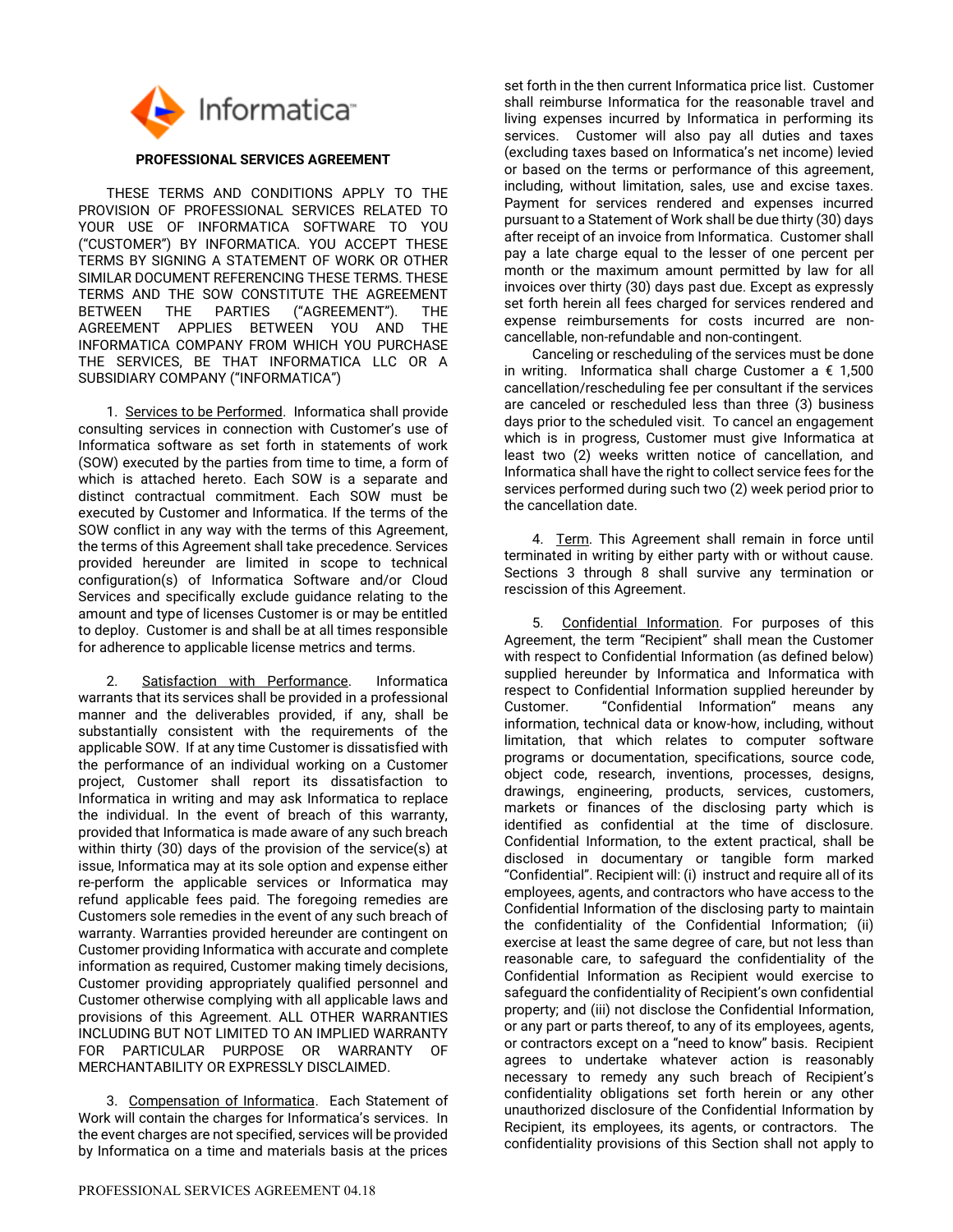

## **PROFESSIONAL SERVICES AGREEMENT**

THESE TERMS AND CONDITIONS APPLY TO THE PROVISION OF PROFESSIONAL SERVICES RELATED TO YOUR USE OF INFORMATICA SOFTWARE TO YOU ("CUSTOMER") BY INFORMATICA. YOU ACCEPT THESE TERMS BY SIGNING A STATEMENT OF WORK OR OTHER SIMILAR DOCUMENT REFERENCING THESE TERMS. THESE TERMS AND THE SOW CONSTITUTE THE AGREEMENT BETWEEN THE PARTIES ("AGREEMENT"). THE AGREEMENT APPLIES BETWEEN YOU AND THE INFORMATICA COMPANY FROM WHICH YOU PURCHASE THE SERVICES, BE THAT INFORMATICA LLC OR A SUBSIDIARY COMPANY ("INFORMATICA")

1. Services to be Performed. Informatica shall provide consulting services in connection with Customer's use of Informatica software as set forth in statements of work (SOW) executed by the parties from time to time, a form of which is attached hereto. Each SOW is a separate and distinct contractual commitment. Each SOW must be executed by Customer and Informatica. If the terms of the SOW conflict in any way with the terms of this Agreement, the terms of this Agreement shall take precedence. Services provided hereunder are limited in scope to technical configuration(s) of Informatica Software and/or Cloud Services and specifically exclude guidance relating to the amount and type of licenses Customer is or may be entitled to deploy. Customer is and shall be at all times responsible for adherence to applicable license metrics and terms.

Satisfaction with Performance. Informatica warrants that its services shall be provided in a professional manner and the deliverables provided, if any, shall be substantially consistent with the requirements of the applicable SOW. If at any time Customer is dissatisfied with the performance of an individual working on a Customer project, Customer shall report its dissatisfaction to Informatica in writing and may ask Informatica to replace the individual. In the event of breach of this warranty, provided that Informatica is made aware of any such breach within thirty (30) days of the provision of the service(s) at issue, Informatica may at its sole option and expense either re-perform the applicable services or Informatica may refund applicable fees paid. The foregoing remedies are Customers sole remedies in the event of any such breach of warranty. Warranties provided hereunder are contingent on Customer providing Informatica with accurate and complete information as required, Customer making timely decisions, Customer providing appropriately qualified personnel and Customer otherwise complying with all applicable laws and provisions of this Agreement. ALL OTHER WARRANTIES INCLUDING BUT NOT LIMITED TO AN IMPLIED WARRANTY FOR PARTICULAR PURPOSE OR WARRANTY OF MERCHANTABILITY OR EXPRESSLY DISCLAIMED.

3. Compensation of Informatica. Each Statement of Work will contain the charges for Informatica's services. In the event charges are not specified, services will be provided by Informatica on a time and materials basis at the prices

set forth in the then current Informatica price list. Customer shall reimburse Informatica for the reasonable travel and living expenses incurred by Informatica in performing its services. Customer will also pay all duties and taxes (excluding taxes based on Informatica's net income) levied or based on the terms or performance of this agreement, including, without limitation, sales, use and excise taxes. Payment for services rendered and expenses incurred pursuant to a Statement of Work shall be due thirty (30) days after receipt of an invoice from Informatica. Customer shall pay a late charge equal to the lesser of one percent per month or the maximum amount permitted by law for all invoices over thirty (30) days past due. Except as expressly set forth herein all fees charged for services rendered and expense reimbursements for costs incurred are noncancellable, non-refundable and non-contingent.

Canceling or rescheduling of the services must be done in writing. Informatica shall charge Customer a  $\epsilon$  1,500 cancellation/rescheduling fee per consultant if the services are canceled or rescheduled less than three (3) business days prior to the scheduled visit. To cancel an engagement which is in progress, Customer must give Informatica at least two (2) weeks written notice of cancellation, and Informatica shall have the right to collect service fees for the services performed during such two (2) week period prior to the cancellation date.

4. Term. This Agreement shall remain in force until terminated in writing by either party with or without cause. Sections 3 through 8 shall survive any termination or rescission of this Agreement.

5. Confidential Information. For purposes of this Agreement, the term "Recipient" shall mean the Customer with respect to Confidential Information (as defined below) supplied hereunder by Informatica and Informatica with respect to Confidential Information supplied hereunder by Customer. "Confidential Information" means any information, technical data or know-how, including, without limitation, that which relates to computer software programs or documentation, specifications, source code, object code, research, inventions, processes, designs, drawings, engineering, products, services, customers, markets or finances of the disclosing party which is identified as confidential at the time of disclosure. Confidential Information, to the extent practical, shall be disclosed in documentary or tangible form marked "Confidential". Recipient will: (i) instruct and require all of its employees, agents, and contractors who have access to the Confidential Information of the disclosing party to maintain the confidentiality of the Confidential Information; (ii) exercise at least the same degree of care, but not less than reasonable care, to safeguard the confidentiality of the Confidential Information as Recipient would exercise to safeguard the confidentiality of Recipient's own confidential property; and (iii) not disclose the Confidential Information, or any part or parts thereof, to any of its employees, agents, or contractors except on a "need to know" basis. Recipient agrees to undertake whatever action is reasonably necessary to remedy any such breach of Recipient's confidentiality obligations set forth herein or any other unauthorized disclosure of the Confidential Information by Recipient, its employees, its agents, or contractors. The confidentiality provisions of this Section shall not apply to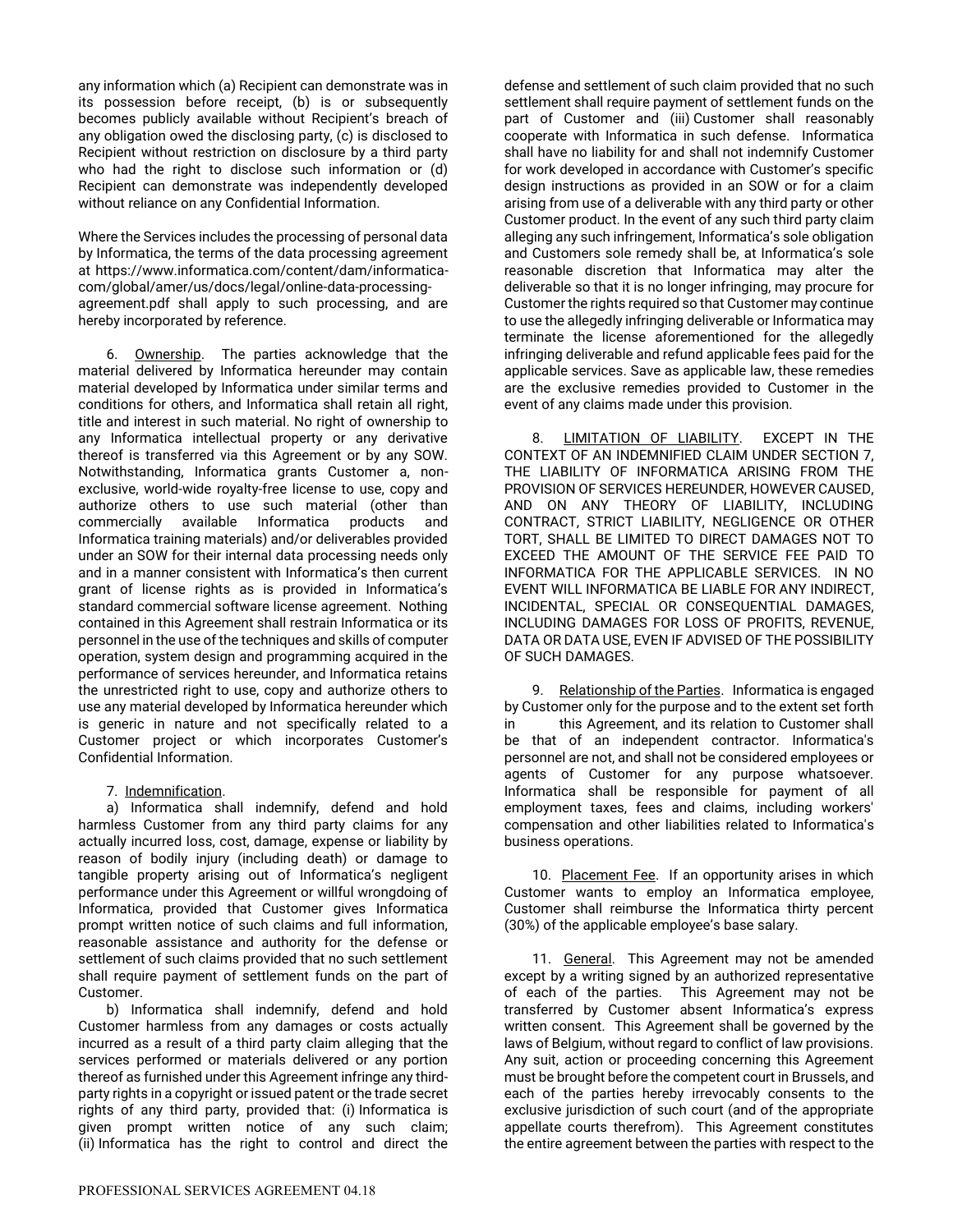any information which (a) Recipient can demonstrate was in its possession before receipt, (b) is or subsequently becomes publicly available without Recipient's breach of any obligation owed the disclosing party, (c) is disclosed to Recipient without restriction on disclosure by a third party who had the right to disclose such information or (d) Recipient can demonstrate was independently developed without reliance on any Confidential Information.

Where the Services includes the processing of personal data by Informatica, the terms of the data processing agreement at https://www.informatica.com/content/dam/informaticacom/global/amer/us/docs/legal/online-data-processingagreement.pdf shall apply to such processing, and are hereby incorporated by reference.

6. Ownership. The parties acknowledge that the material delivered by Informatica hereunder may contain material developed by Informatica under similar terms and conditions for others, and Informatica shall retain all right, title and interest in such material. No right of ownership to any Informatica intellectual property or any derivative thereof is transferred via this Agreement or by any SOW. Notwithstanding, Informatica grants Customer a, nonexclusive, world-wide royalty-free license to use, copy and authorize others to use such material (other than commercially available Informatica products and Informatica training materials) and/or deliverables provided under an SOW for their internal data processing needs only and in a manner consistent with Informatica's then current grant of license rights as is provided in Informatica's standard commercial software license agreement. Nothing contained in this Agreement shall restrain Informatica or its personnel in the use of the techniques and skills of computer operation, system design and programming acquired in the performance of services hereunder, and Informatica retains the unrestricted right to use, copy and authorize others to use any material developed by Informatica hereunder which is generic in nature and not specifically related to a Customer project or which incorporates Customer's Confidential Information.

7. Indemnification.

a) Informatica shall indemnify, defend and hold harmless Customer from any third party claims for any actually incurred loss, cost, damage, expense or liability by reason of bodily injury (including death) or damage to tangible property arising out of Informatica's negligent performance under this Agreement or willful wrongdoing of Informatica, provided that Customer gives Informatica prompt written notice of such claims and full information, reasonable assistance and authority for the defense or settlement of such claims provided that no such settlement shall require payment of settlement funds on the part of Customer.

b) Informatica shall indemnify, defend and hold Customer harmless from any damages or costs actually incurred as a result of a third party claim alleging that the services performed or materials delivered or any portion thereof as furnished under this Agreement infringe any thirdparty rights in a copyright or issued patent or the trade secret rights of any third party, provided that: (i) Informatica is given prompt written notice of any such claim; (ii) Informatica has the right to control and direct the

defense and settlement of such claim provided that no such settlement shall require payment of settlement funds on the part of Customer and (iii) Customer shall reasonably cooperate with Informatica in such defense. Informatica shall have no liability for and shall not indemnify Customer for work developed in accordance with Customer's specific design instructions as provided in an SOW or for a claim arising from use of a deliverable with any third party or other Customer product. In the event of any such third party claim alleging any such infringement, Informatica's sole obligation and Customers sole remedy shall be, at Informatica's sole reasonable discretion that Informatica may alter the deliverable so that it is no longer infringing, may procure for Customer the rights required so that Customer may continue to use the allegedly infringing deliverable or Informatica may terminate the license aforementioned for the allegedly infringing deliverable and refund applicable fees paid for the applicable services. Save as applicable law, these remedies are the exclusive remedies provided to Customer in the event of any claims made under this provision.

8. LIMITATION OF LIABILITY. EXCEPT IN THE CONTEXT OF AN INDEMNIFIED CLAIM UNDER SECTION 7, THE LIABILITY OF INFORMATICA ARISING FROM THE PROVISION OF SERVICES HEREUNDER, HOWEVER CAUSED, AND ON ANY THEORY OF LIABILITY, INCLUDING CONTRACT, STRICT LIABILITY, NEGLIGENCE OR OTHER TORT, SHALL BE LIMITED TO DIRECT DAMAGES NOT TO EXCEED THE AMOUNT OF THE SERVICE FEE PAID TO INFORMATICA FOR THE APPLICABLE SERVICES. IN NO EVENT WILL INFORMATICA BE LIABLE FOR ANY INDIRECT, INCIDENTAL, SPECIAL OR CONSEQUENTIAL DAMAGES, INCLUDING DAMAGES FOR LOSS OF PROFITS, REVENUE, DATA OR DATA USE, EVEN IF ADVISED OF THE POSSIBILITY OF SUCH DAMAGES.

9. Relationship of the Parties. Informatica is engaged by Customer only for the purpose and to the extent set forth in this Agreement, and its relation to Customer shall be that of an independent contractor. Informatica's personnel are not, and shall not be considered employees or agents of Customer for any purpose whatsoever. Informatica shall be responsible for payment of all employment taxes, fees and claims, including workers' compensation and other liabilities related to Informatica's business operations.

10. Placement Fee. If an opportunity arises in which Customer wants to employ an Informatica employee, Customer shall reimburse the Informatica thirty percent (30%) of the applicable employee's base salary.

11. General. This Agreement may not be amended except by a writing signed by an authorized representative of each of the parties. This Agreement may not be transferred by Customer absent Informatica's express written consent. This Agreement shall be governed by the laws of Belgium, without regard to conflict of law provisions. Any suit, action or proceeding concerning this Agreement must be brought before the competent court in Brussels, and each of the parties hereby irrevocably consents to the exclusive jurisdiction of such court (and of the appropriate appellate courts therefrom). This Agreement constitutes the entire agreement between the parties with respect to the